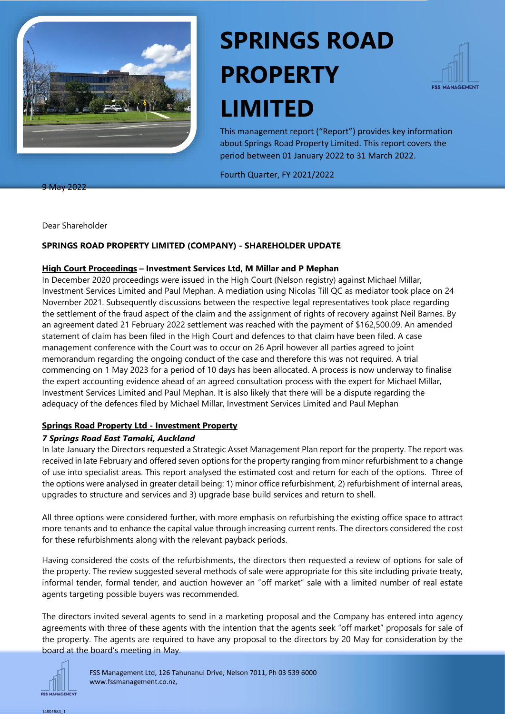

# **SPRINGS ROAD PROPERTY LIMITED**



This management report ("Report") provides key information about Springs Road Property Limited. This report covers the period between 01 January 2022 to 31 March 2022.

Fourth Quarter, FY 2021/2022

9 May 2022

Dear Shareholder

### **SPRINGS ROAD PROPERTY LIMITED (COMPANY) - SHAREHOLDER UPDATE**

#### **High Court Proceedings – Investment Services Ltd, M Millar and P Mephan**

In December 2020 proceedings were issued in the High Court (Nelson registry) against Michael Millar, Investment Services Limited and Paul Mephan. A mediation using Nicolas Till QC as mediator took place on 24 November 2021. Subsequently discussions between the respective legal representatives took place regarding the settlement of the fraud aspect of the claim and the assignment of rights of recovery against Neil Barnes. By an agreement dated 21 February 2022 settlement was reached with the payment of \$162,500.09. An amended statement of claim has been filed in the High Court and defences to that claim have been filed. A case management conference with the Court was to occur on 26 April however all parties agreed to joint memorandum regarding the ongoing conduct of the case and therefore this was not required. A trial commencing on 1 May 2023 for a period of 10 days has been allocated. A process is now underway to finalise the expert accounting evidence ahead of an agreed consultation process with the expert for Michael Millar, Investment Services Limited and Paul Mephan. It is also likely that there will be a dispute regarding the adequacy of the defences filed by Michael Millar, Investment Services Limited and Paul Mephan

#### **Springs Road Property Ltd - Investment Property**

#### *7 Springs Road East Tamaki, Auckland*

In late January the Directors requested a Strategic Asset Management Plan report for the property. The report was received in late February and offered seven options for the property ranging from minor refurbishment to a change of use into specialist areas. This report analysed the estimated cost and return for each of the options. Three of the options were analysed in greater detail being: 1) minor office refurbishment, 2) refurbishment of internal areas, upgrades to structure and services and 3) upgrade base build services and return to shell.

All three options were considered further, with more emphasis on refurbishing the existing office space to attract more tenants and to enhance the capital value through increasing current rents. The directors considered the cost for these refurbishments along with the relevant payback periods.

Having considered the costs of the refurbishments, the directors then requested a review of options for sale of the property. The review suggested several methods of sale were appropriate for this site including private treaty, informal tender, formal tender, and auction however an "off market" sale with a limited number of real estate agents targeting possible buyers was recommended.

The directors invited several agents to send in a marketing proposal and the Company has entered into agency agreements with three of these agents with the intention that the agents seek "off market" proposals for sale of the property. The agents are required to have any proposal to the directors by 20 May for consideration by the board at the board's meeting in May.



14801583\_1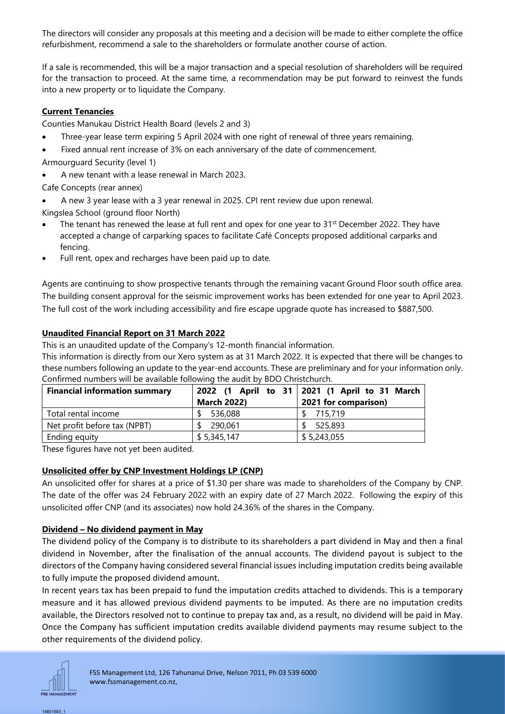The directors will consider any proposals at this meeting and a decision will be made to either complete the office refurbishment, recommend a sale to the shareholders or formulate another course of action.

If a sale is recommended, this will be a major transaction and a special resolution of shareholders will be required for the transaction to proceed. At the same time, a recommendation may be put forward to reinvest the funds into a new property or to liquidate the Company.

## **Current Tenancies**

Counties Manukau District Health Board (levels 2 and 3)

- Three-year lease term expiring 5 April 2024 with one right of renewal of three years remaining.
- Fixed annual rent increase of 3% on each anniversary of the date of commencement.
- Armourguard Security (level 1)
- A new tenant with a lease renewal in March 2023.

Cafe Concepts (rear annex)

• A new 3 year lease with a 3 year renewal in 2025. CPI rent review due upon renewal.

Kingslea School (ground floor North)

- The tenant has renewed the lease at full rent and opex for one year to 31<sup>st</sup> December 2022. They have accepted a change of carparking spaces to facilitate Café Concepts proposed additional carparks and fencing.
- Full rent, opex and recharges have been paid up to date.

Agents are continuing to show prospective tenants through the remaining vacant Ground Floor south office area. The building consent approval for the seismic improvement works has been extended for one year to April 2023. The full cost of the work including accessibility and fire escape upgrade quote has increased to \$887,500.

## **Unaudited Financial Report on 31 March 2022**

This is an unaudited update of the Company's 12-month financial information.

This information is directly from our Xero system as at 31 March 2022. It is expected that there will be changes to these numbers following an update to the year-end accounts. These are preliminary and for your information only. Confirmed numbers will be available following the audit by BDO Christchurch.

| <b>Financial information summary</b> | <b>March 2022)</b> | 2022 (1 April to 31   2021 (1 April to 31 March<br>2021 for comparison) |
|--------------------------------------|--------------------|-------------------------------------------------------------------------|
| Total rental income                  | 536,088            | 715.719                                                                 |
| Net profit before tax (NPBT)         | 290,061            | 525,893                                                                 |
| Ending equity                        | \$5,345,147        | \$5,243,055                                                             |

These figures have not yet been audited.

# **Unsolicited offer by CNP Investment Holdings LP (CNP)**

An unsolicited offer for shares at a price of \$1.30 per share was made to shareholders of the Company by CNP. The date of the offer was 24 February 2022 with an expiry date of 27 March 2022. Following the expiry of this unsolicited offer CNP (and its associates) now hold 24.36% of the shares in the Company.

# **Dividend – No dividend payment in May**

The dividend policy of the Company is to distribute to its shareholders a part dividend in May and then a final dividend in November, after the finalisation of the annual accounts. The dividend payout is subject to the directors of the Company having considered several financial issues including imputation credits being available to fully impute the proposed dividend amount.

In recent years tax has been prepaid to fund the imputation credits attached to dividends. This is a temporary measure and it has allowed previous dividend payments to be imputed. As there are no imputation credits available, the Directors resolved not to continue to prepay tax and, as a result, no dividend will be paid in May. Once the Company has sufficient imputation credits available dividend payments may resume subject to the other requirements of the dividend policy.